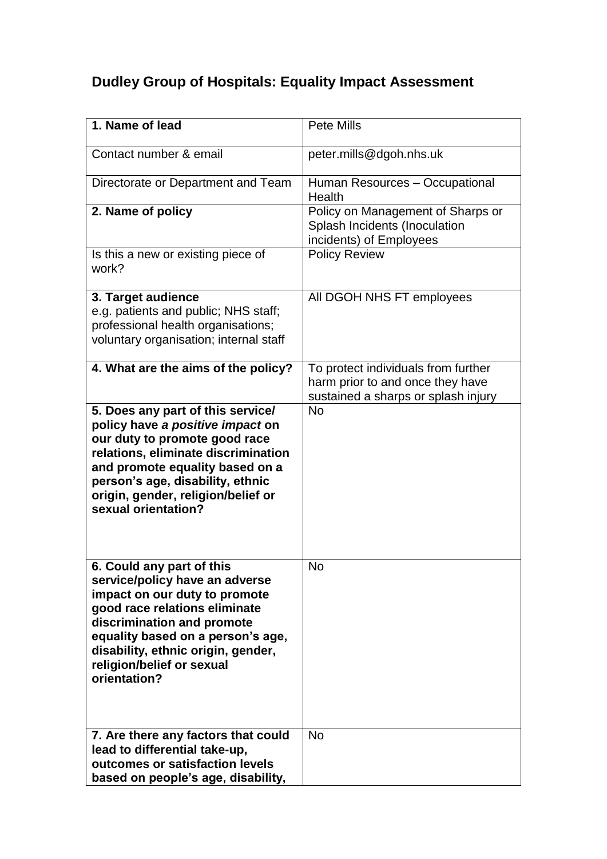## **Dudley Group of Hospitals: Equality Impact Assessment**

| 1. Name of lead                                                                                                                                                                                                                                                                     | <b>Pete Mills</b>                                                                                              |
|-------------------------------------------------------------------------------------------------------------------------------------------------------------------------------------------------------------------------------------------------------------------------------------|----------------------------------------------------------------------------------------------------------------|
| Contact number & email                                                                                                                                                                                                                                                              | peter.mills@dgoh.nhs.uk                                                                                        |
| Directorate or Department and Team                                                                                                                                                                                                                                                  | Human Resources - Occupational<br>Health                                                                       |
| 2. Name of policy                                                                                                                                                                                                                                                                   | Policy on Management of Sharps or<br>Splash Incidents (Inoculation<br>incidents) of Employees                  |
| Is this a new or existing piece of<br>work?                                                                                                                                                                                                                                         | <b>Policy Review</b>                                                                                           |
| 3. Target audience<br>e.g. patients and public; NHS staff;<br>professional health organisations;<br>voluntary organisation; internal staff                                                                                                                                          | All DGOH NHS FT employees                                                                                      |
| 4. What are the aims of the policy?                                                                                                                                                                                                                                                 | To protect individuals from further<br>harm prior to and once they have<br>sustained a sharps or splash injury |
| 5. Does any part of this service/<br>policy have a positive impact on<br>our duty to promote good race<br>relations, eliminate discrimination<br>and promote equality based on a<br>person's age, disability, ethnic<br>origin, gender, religion/belief or<br>sexual orientation?   | <b>No</b>                                                                                                      |
| 6. Could any part of this<br>service/policy have an adverse<br>impact on our duty to promote<br>good race relations eliminate<br>discrimination and promote<br>equality based on a person's age,<br>disability, ethnic origin, gender,<br>religion/belief or sexual<br>orientation? | <b>No</b>                                                                                                      |
| 7. Are there any factors that could<br>lead to differential take-up,<br>outcomes or satisfaction levels<br>based on people's age, disability,                                                                                                                                       | <b>No</b>                                                                                                      |